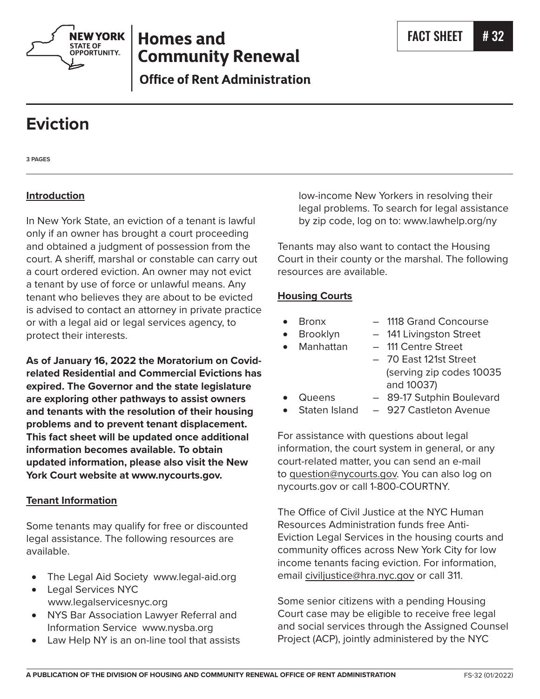

# **Homes and Community Renewal**

**Office of Rent Administration** 

# **Eviction**

**3 PAGES**

# **Introduction**

In New York State, an eviction of a tenant is lawful only if an owner has brought a court proceeding and obtained a judgment of possession from the court. A sheriff, marshal or constable can carry out a court ordered eviction. An owner may not evict a tenant by use of force or unlawful means. Any tenant who believes they are about to be evicted is advised to contact an attorney in private practice or with a legal aid or legal services agency, to protect their interests.

**As of January 16, 2022 the Moratorium on Covidrelated Residential and Commercial Evictions has expired. The Governor and the state legislature are exploring other pathways to assist owners and tenants with the resolution of their housing problems and to prevent tenant displacement. This fact sheet will be updated once additional information becomes available. To obtain updated information, please also visit the New York Court website at www.nycourts.gov.**

#### **Tenant Information**

Some tenants may qualify for free or discounted legal assistance. The following resources are available.

- • The Legal Aid Society www.legal-aid.org
- • Legal Services NYC www.legalservicesnyc.org
- • NYS Bar Association Lawyer Referral and Information Service www.nysba.org
- Law Help NY is an on-line tool that assists

low-income New Yorkers in resolving their legal problems. To search for legal assistance by zip code, log on to: www.lawhelp.org/ny

Tenants may also want to contact the Housing Court in their county or the marshal. The following resources are available.

#### **Housing Courts**

- - Bronx 1118 Grand Concourse
- 
- 
- Brooklyn 141 Livingston Street
- Manhattan 111 Centre Street
	- 70 East 121st Street (serving zip codes 10035 and 10037)
- Queens 89-17 Sutphin Boulevard
- Staten Island  $-927$  Castleton Avenue

For assistance with questions about legal information, the court system in general, or any court-related matter, you can send an e-mail to question@nycourts.gov. You can also log on nycourts.gov or call 1-800-COURTNY.

The Office of Civil Justice at the NYC Human Resources Administration funds free Anti-Eviction Legal Services in the housing courts and community offices across New York City for low income tenants facing eviction. For information, email civiljustice@hra.nyc.gov or call 311.

Some senior citizens with a pending Housing Court case may be eligible to receive free legal and social services through the Assigned Counsel Project (ACP), jointly administered by the NYC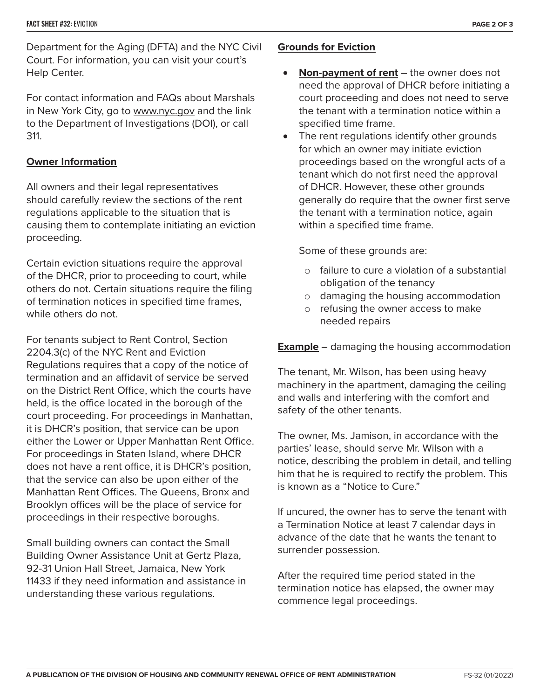Department for the Aging (DFTA) and the NYC Civil Court. For information, you can visit your court's Help Center.

For contact information and FAQs about Marshals in New York City, go to www.nyc.gov and the link to the Department of Investigations (DOI), or call 311.

#### **Owner Information**

All owners and their legal representatives should carefully review the sections of the rent regulations applicable to the situation that is causing them to contemplate initiating an eviction proceeding.

Certain eviction situations require the approval of the DHCR, prior to proceeding to court, while others do not. Certain situations require the filing of termination notices in specified time frames, while others do not.

For tenants subject to Rent Control, Section 2204.3(c) of the NYC Rent and Eviction Regulations requires that a copy of the notice of termination and an affidavit of service be served on the District Rent Office, which the courts have held, is the office located in the borough of the court proceeding. For proceedings in Manhattan, it is DHCR's position, that service can be upon either the Lower or Upper Manhattan Rent Office. For proceedings in Staten Island, where DHCR does not have a rent office, it is DHCR's position, that the service can also be upon either of the Manhattan Rent Offices. The Queens, Bronx and Brooklyn offices will be the place of service for proceedings in their respective boroughs.

Small building owners can contact the Small Building Owner Assistance Unit at Gertz Plaza, 92-31 Union Hall Street, Jamaica, New York 11433 if they need information and assistance in understanding these various regulations.

### **Grounds for Eviction**

- • **Non-payment of rent** the owner does not need the approval of DHCR before initiating a court proceeding and does not need to serve the tenant with a termination notice within a specified time frame.
- The rent regulations identify other grounds for which an owner may initiate eviction proceedings based on the wrongful acts of a tenant which do not first need the approval of DHCR. However, these other grounds generally do require that the owner first serve the tenant with a termination notice, again within a specified time frame.

Some of these grounds are:

- o failure to cure a violation of a substantial obligation of the tenancy
- o damaging the housing accommodation
- o refusing the owner access to make needed repairs

**Example** – damaging the housing accommodation

The tenant, Mr. Wilson, has been using heavy machinery in the apartment, damaging the ceiling and walls and interfering with the comfort and safety of the other tenants.

The owner, Ms. Jamison, in accordance with the parties' lease, should serve Mr. Wilson with a notice, describing the problem in detail, and telling him that he is required to rectify the problem. This is known as a "Notice to Cure."

If uncured, the owner has to serve the tenant with a Termination Notice at least 7 calendar days in advance of the date that he wants the tenant to surrender possession.

After the required time period stated in the termination notice has elapsed, the owner may commence legal proceedings.